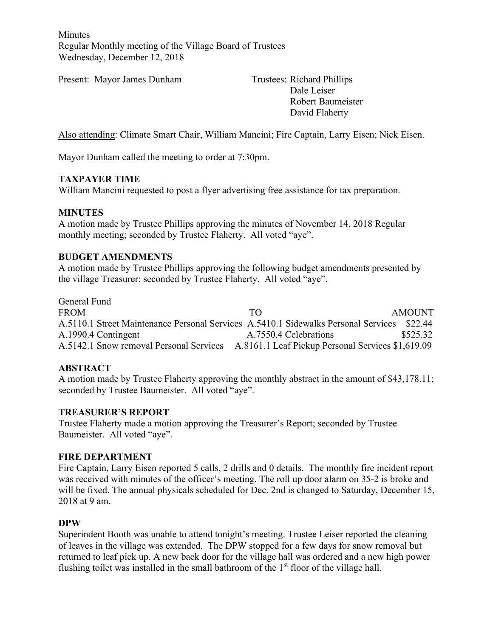Minutes Regular Monthly meeting of the Village Board of Trustees Wednesday, December 12, 2018

Present: Mayor James Dunham Trustees: Richard Phillips

Dale Leiser Robert Baumeister David Flaherty

Also attending: Climate Smart Chair, William Mancini; Fire Captain, Larry Eisen; Nick Eisen.

Mayor Dunham called the meeting to order at 7:30pm.

### **TAXPAYER TIME**

William Mancini requested to post a flyer advertising free assistance for tax preparation.

### **MINUTES**

A motion made by Trustee Phillips approving the minutes of November 14, 2018 Regular monthly meeting; seconded by Trustee Flaherty. All voted "aye".

### **BUDGET AMENDMENTS**

A motion made by Trustee Phillips approving the following budget amendments presented by the village Treasurer: seconded by Trustee Flaherty. All voted "aye".

General Fund FROM TO TO AMOUNT A.5110.1 Street Maintenance Personal Services A.5410.1 Sidewalks Personal Services \$22.44 A.1990.4 Contingent A.7550.4 Celebrations \$525.32 A.5142.1 Snow removal Personal Services A.8161.1 Leaf Pickup Personal Services \$1,619.09

### **ABSTRACT**

A motion made by Trustee Flaherty approving the monthly abstract in the amount of \$43,178.11; seconded by Trustee Baumeister. All voted "aye".

### **TREASURER'S REPORT**

Trustee Flaherty made a motion approving the Treasurer's Report; seconded by Trustee Baumeister. All voted "aye".

### **FIRE DEPARTMENT**

Fire Captain, Larry Eisen reported 5 calls, 2 drills and 0 details. The monthly fire incident report was received with minutes of the officer's meeting. The roll up door alarm on 35-2 is broke and will be fixed. The annual physicals scheduled for Dec. 2nd is changed to Saturday, December 15, 2018 at 9 am.

### **DPW**

Superindent Booth was unable to attend tonight's meeting. Trustee Leiser reported the cleaning of leaves in the village was extended. The DPW stopped for a few days for snow removal but returned to leaf pick up. A new back door for the village hall was ordered and a new high power flushing toilet was installed in the small bathroom of the  $1<sup>st</sup>$  floor of the village hall.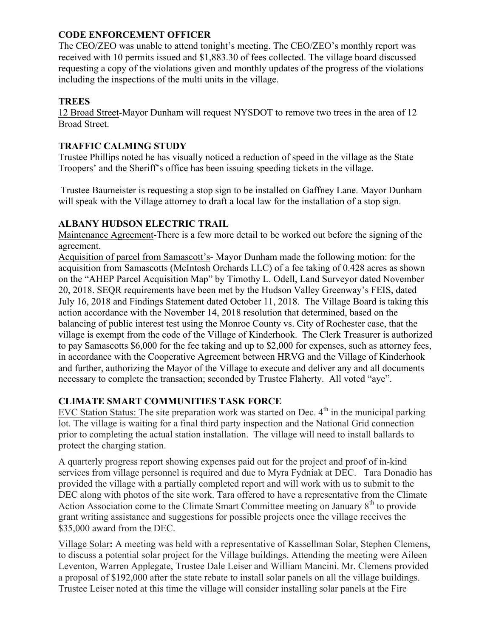### **CODE ENFORCEMENT OFFICER**

The CEO/ZEO was unable to attend tonight's meeting. The CEO/ZEO's monthly report was received with 10 permits issued and \$1,883.30 of fees collected. The village board discussed requesting a copy of the violations given and monthly updates of the progress of the violations including the inspections of the multi units in the village.

## **TREES**

12 Broad Street-Mayor Dunham will request NYSDOT to remove two trees in the area of 12 Broad Street.

### **TRAFFIC CALMING STUDY**

Trustee Phillips noted he has visually noticed a reduction of speed in the village as the State Troopers' and the Sheriff's office has been issuing speeding tickets in the village.

Trustee Baumeister is requesting a stop sign to be installed on Gaffney Lane. Mayor Dunham will speak with the Village attorney to draft a local law for the installation of a stop sign.

## **ALBANY HUDSON ELECTRIC TRAIL**

Maintenance Agreement-There is a few more detail to be worked out before the signing of the agreement.

Acquisition of parcel from Samascott's- Mayor Dunham made the following motion: for the acquisition from Samascotts (McIntosh Orchards LLC) of a fee taking of 0.428 acres as shown on the "AHEP Parcel Acquisition Map" by Timothy L. Odell, Land Surveyor dated November 20, 2018. SEQR requirements have been met by the Hudson Valley Greenway's FEIS, dated July 16, 2018 and Findings Statement dated October 11, 2018. The Village Board is taking this action accordance with the November 14, 2018 resolution that determined, based on the balancing of public interest test using the Monroe County vs. City of Rochester case, that the village is exempt from the code of the Village of Kinderhook. The Clerk Treasurer is authorized to pay Samascotts \$6,000 for the fee taking and up to \$2,000 for expenses, such as attorney fees, in accordance with the Cooperative Agreement between HRVG and the Village of Kinderhook and further, authorizing the Mayor of the Village to execute and deliver any and all documents necessary to complete the transaction; seconded by Trustee Flaherty. All voted "aye".

# **CLIMATE SMART COMMUNITIES TASK FORCE**

EVC Station Status: The site preparation work was started on Dec.  $4<sup>th</sup>$  in the municipal parking lot. The village is waiting for a final third party inspection and the National Grid connection prior to completing the actual station installation. The village will need to install ballards to protect the charging station.

A quarterly progress report showing expenses paid out for the project and proof of in-kind services from village personnel is required and due to Myra Fydniak at DEC. Tara Donadio has provided the village with a partially completed report and will work with us to submit to the DEC along with photos of the site work. Tara offered to have a representative from the Climate Action Association come to the Climate Smart Committee meeting on January 8<sup>th</sup> to provide grant writing assistance and suggestions for possible projects once the village receives the \$35,000 award from the DEC.

Village Solar**:** A meeting was held with a representative of Kassellman Solar, Stephen Clemens, to discuss a potential solar project for the Village buildings. Attending the meeting were Aileen Leventon, Warren Applegate, Trustee Dale Leiser and William Mancini. Mr. Clemens provided a proposal of \$192,000 after the state rebate to install solar panels on all the village buildings. Trustee Leiser noted at this time the village will consider installing solar panels at the Fire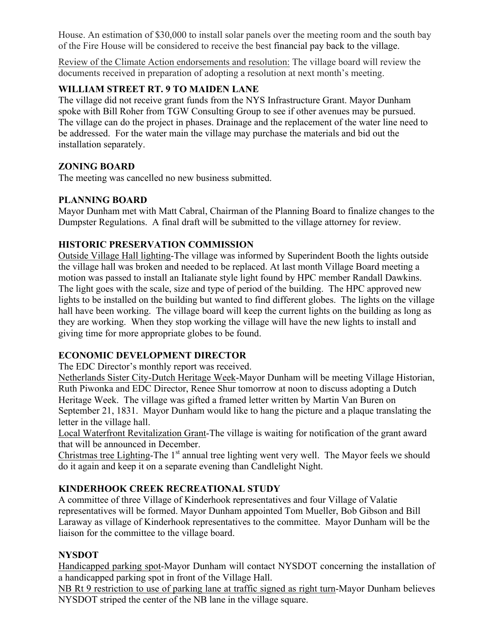House. An estimation of \$30,000 to install solar panels over the meeting room and the south bay of the Fire House will be considered to receive the best financial pay back to the village.

Review of the Climate Action endorsements and resolution: The village board will review the documents received in preparation of adopting a resolution at next month's meeting.

# **WILLIAM STREET RT. 9 TO MAIDEN LANE**

The village did not receive grant funds from the NYS Infrastructure Grant. Mayor Dunham spoke with Bill Roher from TGW Consulting Group to see if other avenues may be pursued. The village can do the project in phases. Drainage and the replacement of the water line need to be addressed. For the water main the village may purchase the materials and bid out the installation separately.

### **ZONING BOARD**

The meeting was cancelled no new business submitted.

### **PLANNING BOARD**

Mayor Dunham met with Matt Cabral, Chairman of the Planning Board to finalize changes to the Dumpster Regulations. A final draft will be submitted to the village attorney for review.

## **HISTORIC PRESERVATION COMMISSION**

Outside Village Hall lighting-The village was informed by Superindent Booth the lights outside the village hall was broken and needed to be replaced. At last month Village Board meeting a motion was passed to install an Italianate style light found by HPC member Randall Dawkins. The light goes with the scale, size and type of period of the building. The HPC approved new lights to be installed on the building but wanted to find different globes. The lights on the village hall have been working. The village board will keep the current lights on the building as long as they are working. When they stop working the village will have the new lights to install and giving time for more appropriate globes to be found.

# **ECONOMIC DEVELOPMENT DIRECTOR**

The EDC Director's monthly report was received.

Netherlands Sister City-Dutch Heritage Week-Mayor Dunham will be meeting Village Historian, Ruth Piwonka and EDC Director, Renee Shur tomorrow at noon to discuss adopting a Dutch Heritage Week. The village was gifted a framed letter written by Martin Van Buren on September 21, 1831. Mayor Dunham would like to hang the picture and a plaque translating the letter in the village hall.

Local Waterfront Revitalization Grant-The village is waiting for notification of the grant award that will be announced in December.

Christmas tree Lighting-The  $1<sup>st</sup>$  annual tree lighting went very well. The Mayor feels we should do it again and keep it on a separate evening than Candlelight Night.

# **KINDERHOOK CREEK RECREATIONAL STUDY**

A committee of three Village of Kinderhook representatives and four Village of Valatie representatives will be formed. Mayor Dunham appointed Tom Mueller, Bob Gibson and Bill Laraway as village of Kinderhook representatives to the committee. Mayor Dunham will be the liaison for the committee to the village board.

# **NYSDOT**

Handicapped parking spot-Mayor Dunham will contact NYSDOT concerning the installation of a handicapped parking spot in front of the Village Hall.

NB Rt 9 restriction to use of parking lane at traffic signed as right turn-Mayor Dunham believes NYSDOT striped the center of the NB lane in the village square.